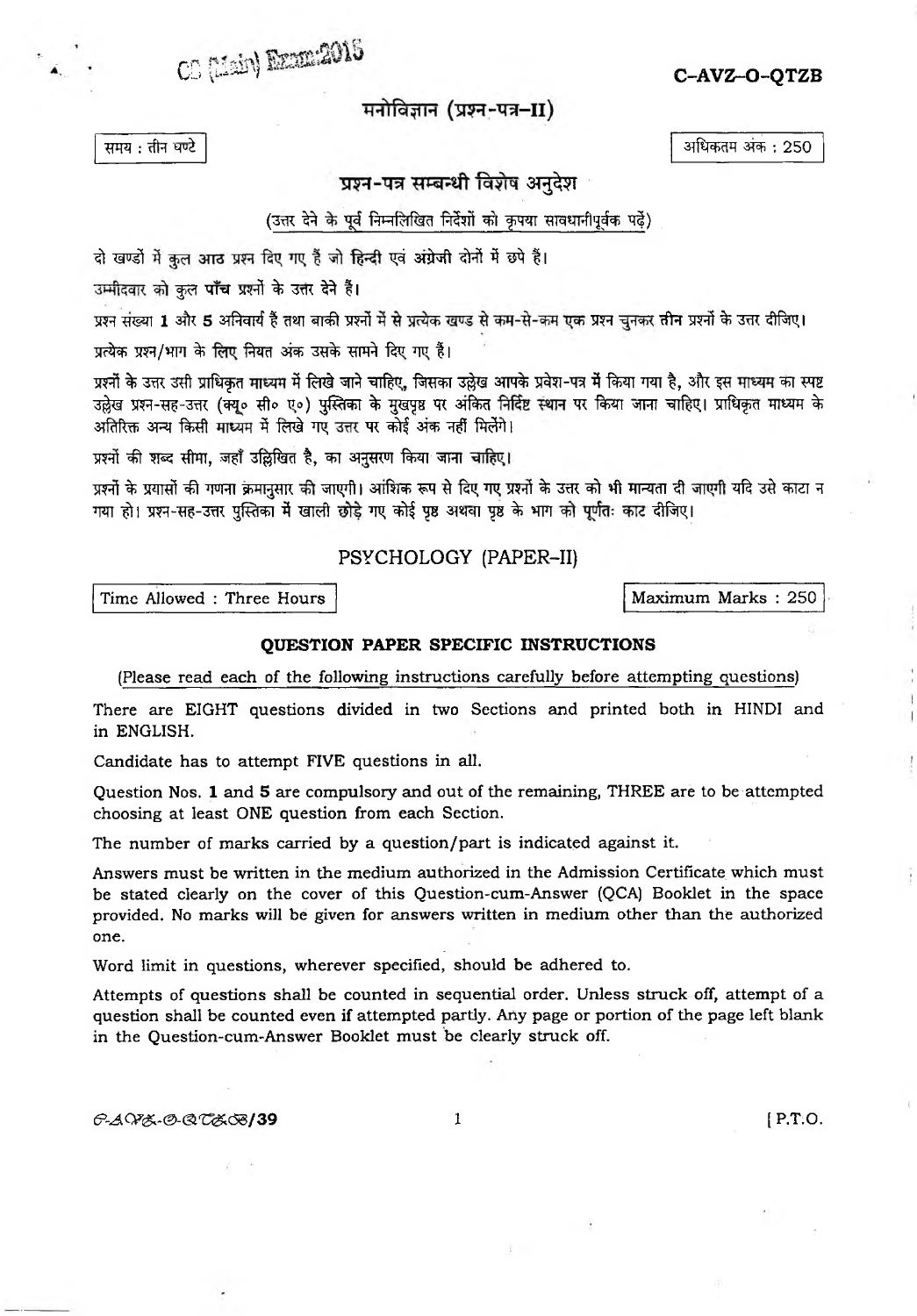*C C C C C C C C C C C C C C C C C C C C C C C C C C C C C C C C C C C C C*

मनोविज्ञान (प्रश्न-पत्र–II)

**TFR : cft\*T Mui srtefiq** *m>* **: 250**

प्रश्न-पत्र सम्बन्धी विशेष अनुदेश

(उत्तर देने के पूर्व निम्नलिखित निर्देशों को कृपया सावधानीपूर्वक प**ढ़ें**)

दो खण्डों में कुल आठ प्रश्न दिए गए हैं जो हिन्दी एवं अंग्रेजी दोनों में छपे हैं।

उम्मीदवार को कुल **पाँच** प्रश्नों के उत्तर देने हैं।

**to w fi 13^5 srf^Ff f tisn ^r£t to! to tfk to! % ^rc ^tf^i**

प्रत्येक प्रश्न/भाग के लिए नियत अंक उसके सामने दिए गए हैं।

प्रश्नों के उत्तर उसी प्राधिकृत माध्यम में लिखे जाने चाहिए, जिसका उल्लेख आपके प्रवेश-पत्र में किया गया है, और इस माध्यम का स्पष्ट उल्लेख प्रश्न-सह-उत्तर (क्यू० सी० ए०) पुस्तिका के मुखपृष्ठ पर अंकित निर्दिष्ट स्थान पर किया जाना चाहिए। प्राधिकृत माध्यम के अतिरिक्त अन्य किसी माध्यम में लिखे गए उत्तर पर कोई अंक नहीं मिलेंगे।

प्रश्नों की शब्द सीमा, जहाँ उल्लिखित है, का अनुसरण किया जाना चाहिए।

प्रश्नों के प्रयासों की गणना क्रमानुसार की जाएगी। आंशिक रूप से दिए गए प्रश्नों के उत्तर को भी मान्यता दी जाएगी यदि उसे काटा न गया हो। प्रश्न-सह-उत्तर पुस्तिका में खाली छोड़े गए कोई पृष्ठ अथवा पृष्ठ के भाग को पूर्णतः काट दीजिए।

## PSYCHOLOGY (PAPER-II)

Time Allowed : Three Hours | **Maximum Marks : 250** 

## **QUESTION PAPER SPECIFIC INSTRUCTIONS**

**(Please read each of the following instructions carefully before attempting questions)**

**There are EIGHT questions divided in two Sections and printed both in HINDI and in ENGLISH.**

**Candidate has to attempt FIVE questions in all.**

**Question Nos. 1 and 5 are compulsory and out of the remaining, THREE are to be attempted choosing at least ONE question from each Section.**

**The number of marks carried by a question/part is indicated against it.**

**Answers must be written in the medium authorized in the Admission Certificate which must be stated clearly on the cover of this Question-cum-Answer (QCA) Booklet in the space provided. No marks will be given for answers written in medium other than the authorized one.**

**Word limit in questions, wherever specified, should be adhered to.**

**Attempts of questions shall be counted in sequential order. Unless struck off, attempt of a question shall be counted even if attempted partly. Any page or portion of the page left blank in the Question-cum-Answer Booklet must be clearly struck off.**

**(5^C^£~@-<3i€<£c53/39 1 [ P.T.O.**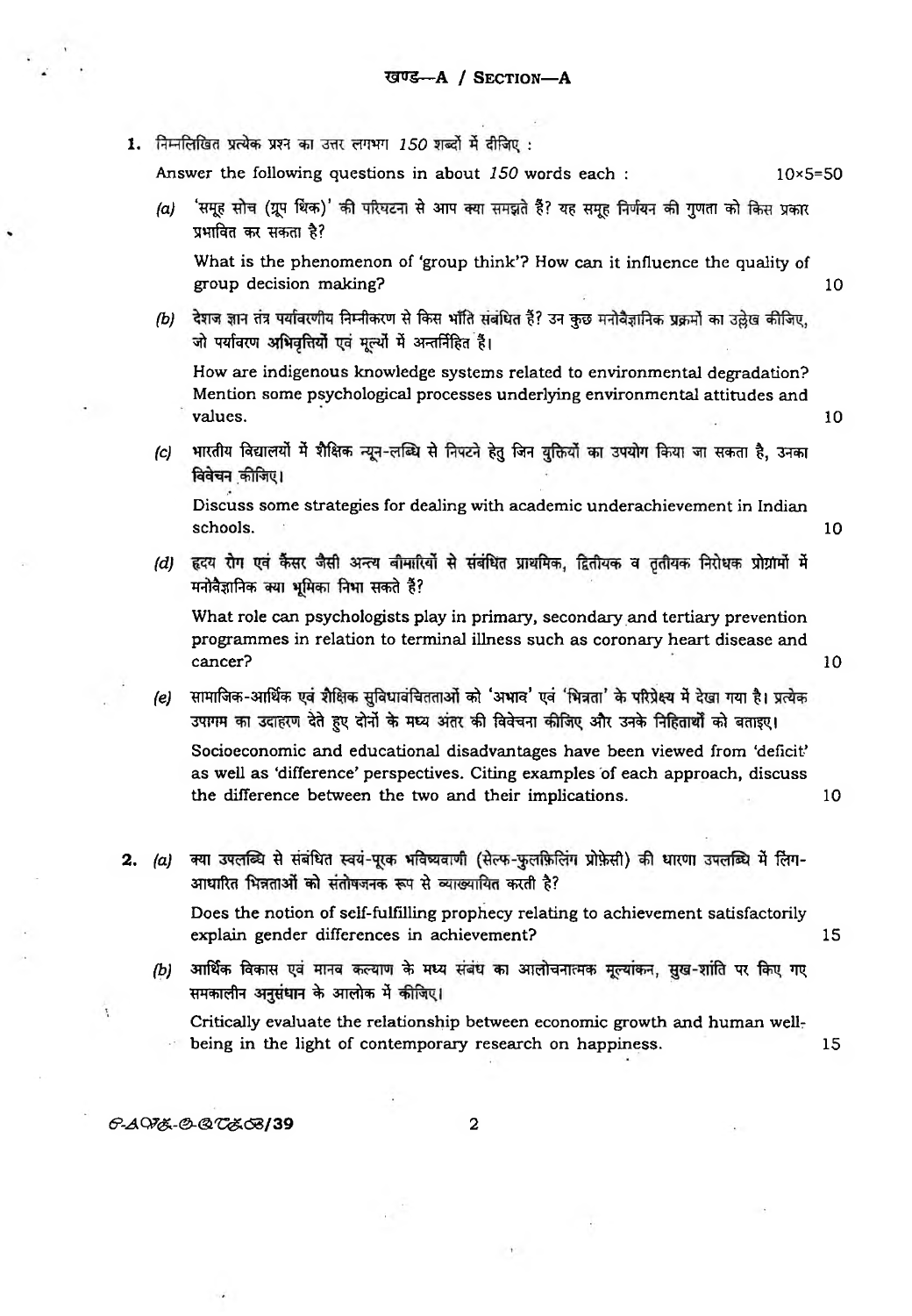1. निम्नलिखित प्रत्येक प्रश्न का उत्तर लगभग 150 शब्दों में दीजिए:

**Answer the following questions in about** *150* **words each : 10><5=50** *(a)* 'समूह सोच (ग्रूप थिंक)' की परिघटना से आप क्या समझते हैं? यह समूह निर्णयन की गुणता को किस प्रकार **3jm^r ^** *Ttm %?* **What is the phenomenon of 'group think'? How can it influence the quality of group decision making? 10** *(b)* देशज ज्ञान तंत्र पर्यावरणीय निम्नीकरण से किस भाँति संबंधित हैं? उन कुछ मनोवैज्ञानिक प्रक्रमों का उल्लेख कीजिए, जो पर्यावरण अभिवृत्तियों एवं मूल्यों में अन्तर्निहित है। **How are indigenous knowledge systems related to environmental degradation? Mention some psychological processes underlying environmental attitudes and values. 10** *(c)* भारतीय विद्यालयों में शैक्षिक न्यून-लब्धि से निपटने हेतु जिन युक्तियों का उपयोग किया जा सकता है, उनका विवेचन कीजिए। **Discuss some strategies for dealing with academic underachievement in Indian schools.** 10 *(d)* हृदय रोग एवं कैंसर जैसी अन्त्य बीमारियों से संबंधित प्राथमिक, द्वितीयक व तृतीयक निरोधक प्रोग्रामों में मनोवैज्ञानिक क्या भूमिका निभा सकते हैं? **What role can psychologists play in primary, secondary and tertiary prevention programmes in relation to terminal illness such as coronary heart disease and cancer?** 10 *(e)* सामाजिक-आर्थिक एवं शैक्षिक सुविधावंचितताओं को 'अभाव' एवं 'भिन्नता' के परिप्रेक्ष्य में देखा गया है। प्रत्येक उपागम का उदाहरण देते हुए दोनों के मध्य अंतर की विवेचना कीजिए और उनके निहितार्थों को बताइए। **Socioeconomic and educational disadvantages have been viewed from 'deficit\* as well as 'difference' perspectives. Citing examples of each approach, discuss the difference between the two and their implications. 10** 2. (a) क्या उपलब्धि से संबंधित स्वयं-पूरक भविष्यवाणी (सेल्फ-फुलफ़िलिंग प्रोफ़ेसी) की धारणा उपलब्धि में लिंग-आधारित भिन्नताओं को संतोषजनक रूप से व्याख्यायित करती है? **Does the notion of self-fulfilling prophecy relating to achievement satisfactorily explain gender differences in achievement? 15** *(b)* आर्थिक विकास एवं मानव कल्याण के मध्य संबंध का आलोचनात्मक मूल्यांकन, सुख-शांति पर किए गए समकालीन अनुसंधान के आलोक में कीजिए। **Critically evaluate the relationship between economic growth and human wellbeing in the light of contemporary research on happiness.** 15 **E-AV&-O-QU&G8/39** 2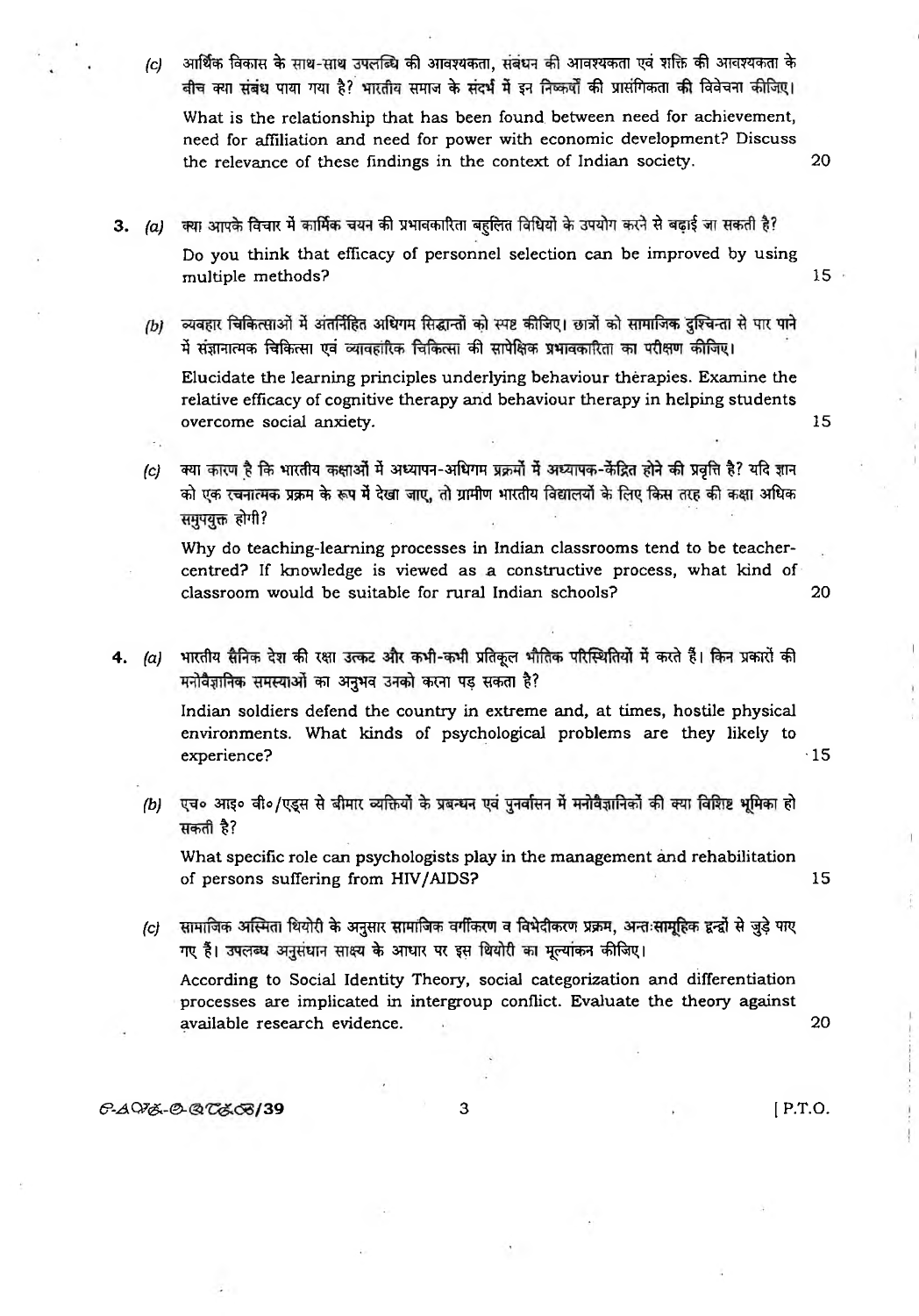- *(c)* आर्थिक विकास के साथ-साथ उपलब्धि की आवश्यकता, संबंधन की आवश्यकता एवं शक्ति की आवश्यकता के बीच क्या संबंध पाया गया है? भारतीय समाज के संदर्भ में इन निष्कर्षों की प्रासंगिकता की विवेचना कीजिए। **What is the relationship that has been found, between need for achievement, need for affiliation and need for power with economic development? Discuss the relevance of these findings in the context of Indian society. 20**
	-
- 3. (a) क्या आपके विचार में कार्मिक चयन की प्रभावकारिता बहलित विधियों के उपयोग करने से बढ़ाई जा सकती है? **Do you think that efficacy of personnel selection can be improved by using multiple methods?** 15
	- व्यवहार चिकित्साओं में अंतर्निहित अधिगम सिद्धान्तों को स्पष्ट कीजिए। छात्रों को सामाजिक दुश्चिन्ता से पार पाने  $(b)$ र्मे संज्ञानात्मक चिकित्सा एवं व्यावहारिक चिकित्सा की सापेक्षिक प्रभावकारिता का परीक्षण कीजिए।

**Elucidate the learning principles underlying behaviour therapies. Examine the relative efficacy of cognitive therapy and behaviour therapy in helping students overcome social anxiety.** 15

*(c)* क्या कारण है कि भारतीय कक्षाओं में अध्यापन-अधिगम प्रक्रमों में अध्यापक-केंद्रित होने की प्रवृत्ति है? यदि ज्ञान को एक रचनात्मक प्रक्रम के रूप में देखा जाए, तो ग्रामीण भारतीय विद्यालयों के लिए किस तरह की कक्षा अधिक **समुपयुक्त होगी?** 

**Why do teaching-learning processes in Indian classrooms tend to be teachercentred? If knowledge is viewed as a constructive process, what kind of classroom would be suitable for rural Indian schools? 20**

- 
- 4. (a) भारतीय सैनिक देश की रक्षा उत्कट और कभी-कभी प्रतिकूल भौतिक परिस्थितियों में करते हैं। किन प्रकारों की **मनोवैज्ञानिक समस्याओं का अनुभव उनको करना पड़ सकता है?**

**Indian soldiers defend the country in extreme and, at times, hostile physical environments. What kinds of psychological problems are they likely to experience?** • 15

*(b)* एच० आइ० वी०/एड्स से बीमार व्यक्तियों के प्रबन्धन एवं पुनर्वासन में मनोवैज्ञानिकों की क्या विशिष्ट भूमिका हो **सकती है**?

**What specific role can psychologists play in the management and rehabilitation of persons suffering from HIV/AIDS? 15**

*(c)* सामाजिक अस्मिता थियोरी के अनुसार सामाजिक वर्गीकरण व विभेदीकरण प्रक्रम, अन्तःसामूहिक द्वन्द्वों से जुड़े पाए गए हैं। उपलब्ध अनुसंधान साक्ष्य के आधार पर इस थियोरी का मूल्यांकन कीजिए।

**According to Social Identity Theory, social categorization and differentiation processes are implicated in intergroup conflict. Evaluate the theory against available research evidence. 20**

## *&-A* Q7<£- ©- 39 **3 ( P.T.O.**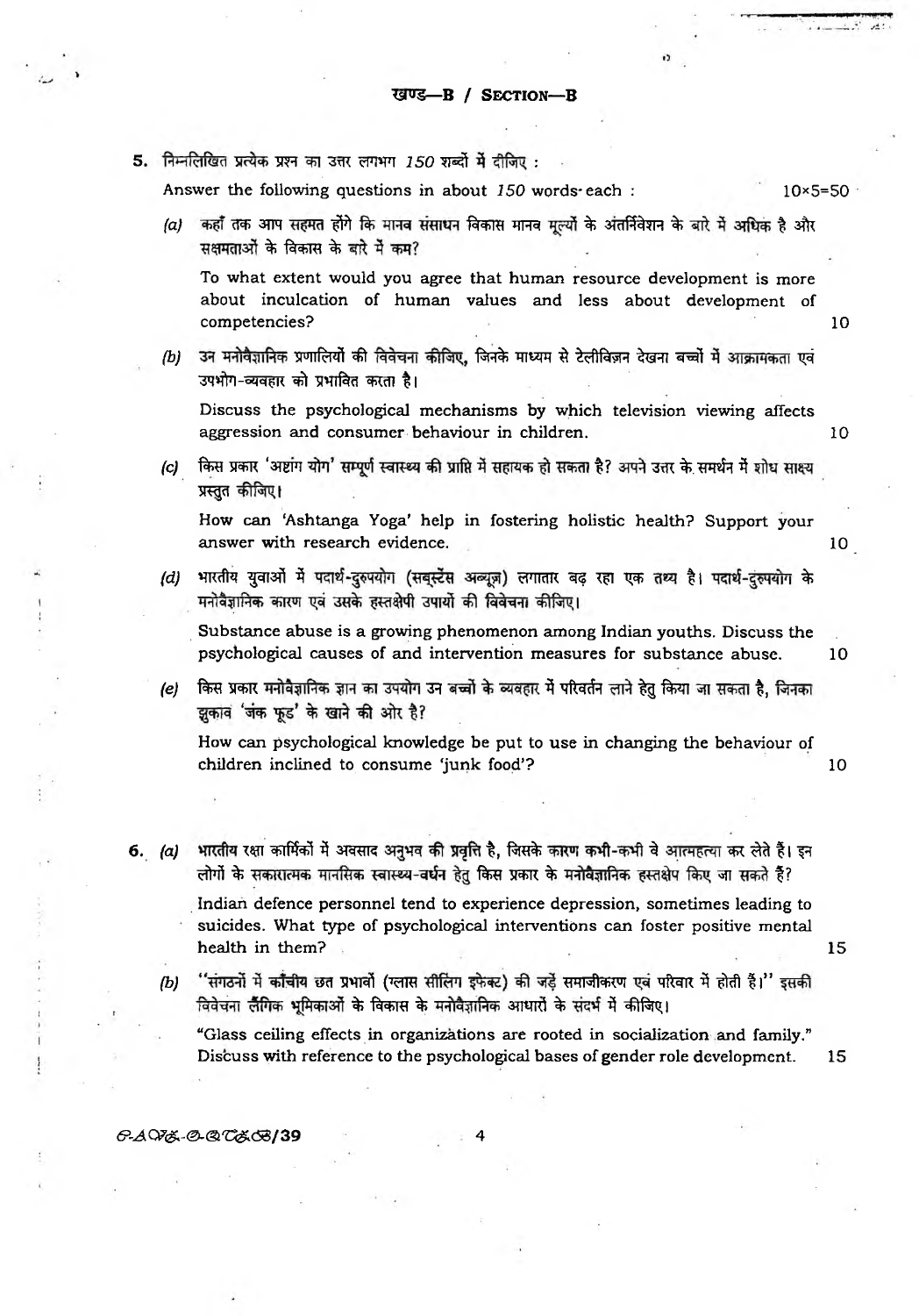5. निम्नलिखित प्रत्येक प्रश्न का उत्तर लगभग  $150$  शब्दों में दीजिए:

**Answer the following questions in about** *150* **words-each : 10\*5=50**

*(a)* कहाँ तक आप सहमत होंगे कि मानव संसाधन विकास मानव मूल्यों के अंतर्निवेशन के बारे में अधिक है और सक्षमताओं के विकास के बारे में कम?

**To what extent would you agree that human resource development is more about inculcation of human values and less about development of competencies?** 10

*(b)* उन मनोवैज्ञानिक प्रणालियों की विवेचना कीजिए, जिनके माध्यम से टेलीविज़न देखना बच्चों में आक्रामकता एवं उपभोग-व्यवहार को प्रभावित करता है।

**Discuss the psychological mechanisms by which television viewing affects aggression and consumer behaviour in children.** 10

*(c)* किस प्रकार 'अष्टांग योग' सम्पूर्ण स्वास्थ्य की प्राप्ति में सहायक हो सकता है? अपने उत्तर के समर्थन में शोध साक्ष्य **प्रस्तुत कीजिए।** 

**How can 'Ashtanga Yoga' help in fostering holistic health? Support your answer with research evidence.** 10

*(d)* भारतीय युवाओं में पदार्थ-दुरुपयोग (सबुस्टेंस अब्यूज़) लगातार बढ़ रहा एक तथ्य है। पदार्थ-दुरुपयोग के मनोवैज्ञानिक कारण एवं उसके हस्तक्षेपी उपार्यो की विवेचना कीजिए।

**Substance abuse is a growing phenomenon among Indian youths. Discuss the psychological causes of and intervention measures for substance abuse. 10**

*(e)* किस प्रकार मनोवैज्ञानिक ज्ञान का उपयोग उन बच्चों के व्यवहार में परिवर्तन लाने हेतु किया जा सकता है, जिनका झुकाव 'जंक फूड' के खाने की ओर है?

**How can psychological knowledge be put to use in changing the behaviour of children inclined to consume 'junk food'? 10**

**6.** (a) भारतीय रक्षा कार्मिकों में अवसाद अनुभव की प्रवृत्ति है, जिसके कारण कभी-कभी वे आत्महत्या कर लेते हैं। इन लोगों के सकारात्मक मानसिक स्वास्थ्य-वर्धन हेतु किस प्रकार के मनोवैज्ञानिक हस्तक्षेप किए जा सकते हैं? **Indian defence personnel tend to experience depression, sometimes leading to**

**suicides. What type of psychological interventions can foster positive mental health in them?** 15

*(b)* ''संगठनों में काँचीय छत प्रभावों (ग्लास सीलिंग इफेक्ट) की जड़ें समाजीकरण एवं परिवार में होती हैं।'' इसकी <u>विवेचना लैंगिक भूमिकाओं के विकास के मनोवैज्ञानिक आधारों के संदर्भ में कीजिए।</u>

**"Glass ceiling effects in organizations are rooted in socialization and family." Discuss with reference to the psychological bases of gender role development. 15**

## **6^Cp& -<^<a'0£c53/39 4**